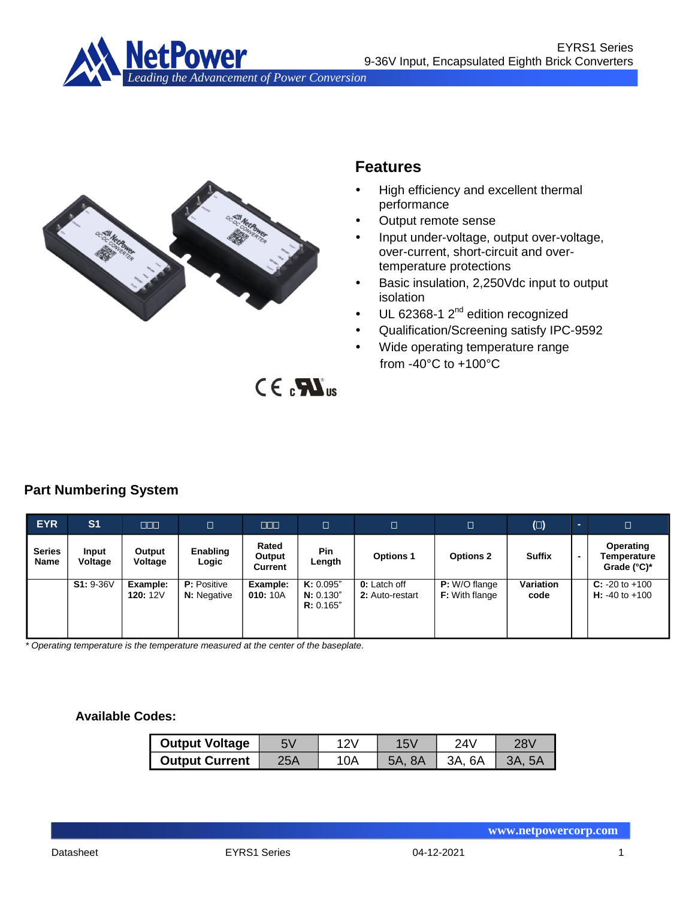



# **Features**

- High efficiency and excellent thermal performance
- Output remote sense
- Input under-voltage, output over-voltage, over-current, short-circuit and overtemperature protections
- Basic insulation, 2,250Vdc input to output isolation
- UL 62368-1 2<sup>nd</sup> edition recognized
- Qualification/Screening satisfy IPC-9592
- Wide operating temperature range from -40°C to +100°C

 $CE<sub>n</sub>$ 

# **Part Numbering System**

| <b>EYR</b><br>b.             | S <sub>1</sub>   | <b>ROLL</b>                 | о                                        | <b>TO DI</b>               |                                     | D                                      | $\Box$                                 | $(\Box)$                 |                | о                                                   |
|------------------------------|------------------|-----------------------------|------------------------------------------|----------------------------|-------------------------------------|----------------------------------------|----------------------------------------|--------------------------|----------------|-----------------------------------------------------|
| <b>Series</b><br><b>Name</b> | Input<br>Voltage | Output<br>Voltage           | Enabling<br>Logic                        | Rated<br>Output<br>Current | <b>Pin</b><br>Length                | <b>Options 1</b>                       | <b>Options 2</b>                       | <b>Suffix</b>            | $\blacksquare$ | Operating<br>Temperature<br>Grade $(^{\circ}C)^{*}$ |
|                              | $S1: 9-36V$      | Example:<br><b>120: 12V</b> | <b>P:</b> Positive<br><b>N:</b> Negative | Example:<br>010: 10A       | K: 0.095"<br>N: 0.130"<br>R: 0.165" | <b>0:</b> Latch off<br>2: Auto-restart | P: W/O flange<br><b>F:</b> With flange | <b>Variation</b><br>code |                | $C: -20$ to $+100$<br><b>H</b> : -40 to +100        |

*\* Operating temperature is the temperature measured at the center of the baseplate.*

### **Available Codes:**

| <b>Output Voltage</b> |     |     | 74\.      |  |
|-----------------------|-----|-----|-----------|--|
| <b>Output Current</b> | 25A | '0A | 6A<br>3A. |  |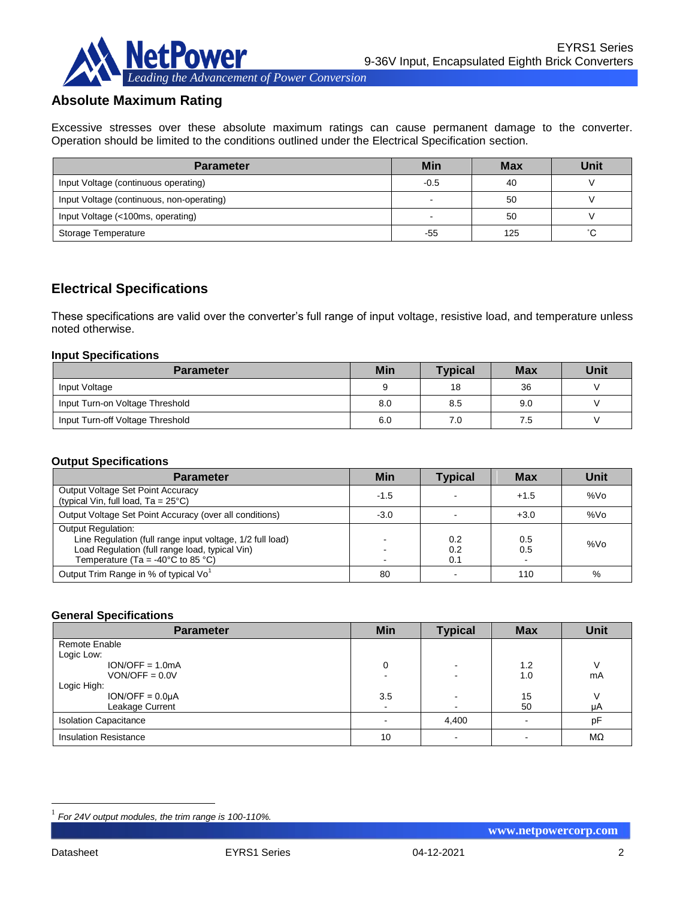

## **Absolute Maximum Rating**

Excessive stresses over these absolute maximum ratings can cause permanent damage to the converter. Operation should be limited to the conditions outlined under the Electrical Specification section.

| <b>Parameter</b>                          | Min    | <b>Max</b> | Unit |
|-------------------------------------------|--------|------------|------|
| Input Voltage (continuous operating)      | $-0.5$ | 40         |      |
| Input Voltage (continuous, non-operating) |        | 50         |      |
| Input Voltage (<100ms, operating)         |        | 50         |      |
| Storage Temperature                       | -55    | 125        | °С   |

## **Electrical Specifications**

These specifications are valid over the converter's full range of input voltage, resistive load, and temperature unless noted otherwise.

#### **Input Specifications**

| <b>Parameter</b>                 | <b>Min</b> | <b>Typical</b> | <b>Max</b> | Unit |
|----------------------------------|------------|----------------|------------|------|
| Input Voltage                    |            | 18             | 36         |      |
| Input Turn-on Voltage Threshold  | 8.0        | 8.5            | 9.0        |      |
| Input Turn-off Voltage Threshold | 6.0        | 7.0            | 7.5        |      |

#### **Output Specifications**

| <b>Parameter</b>                                                                                                                                                                                   | <b>Min</b> | <b>Typical</b>    | <b>Max</b> | Unit            |
|----------------------------------------------------------------------------------------------------------------------------------------------------------------------------------------------------|------------|-------------------|------------|-----------------|
| Output Voltage Set Point Accuracy<br>(typical Vin, full load, $Ta = 25^{\circ}C$ )                                                                                                                 | $-1.5$     |                   | $+1.5$     | %V <sub>O</sub> |
| Output Voltage Set Point Accuracy (over all conditions)                                                                                                                                            | $-3.0$     |                   | $+3.0$     | %Vo             |
| <b>Output Regulation:</b><br>Line Regulation (full range input voltage, 1/2 full load)<br>Load Regulation (full range load, typical Vin)<br>Temperature (Ta = -40 $^{\circ}$ C to 85 $^{\circ}$ C) |            | 0.2<br>0.2<br>0.1 | 0.5<br>0.5 | %Vo             |
| Output Trim Range in % of typical Vo                                                                                                                                                               | 80         |                   | 110        | %               |

#### **General Specifications**

| <b>Parameter</b>             | <b>Min</b> | <b>Typical</b> | <b>Max</b> | <b>Unit</b> |
|------------------------------|------------|----------------|------------|-------------|
| Remote Enable                |            |                |            |             |
| Logic Low:                   |            |                |            |             |
| $ION/OFF = 1.0mA$            |            |                | 1.2        |             |
| $VON/OFF = 0.0 V$            |            |                | 1.0        | mA          |
| Logic High:                  |            |                |            |             |
| $ION/OFF = 0.0µA$            | 3.5        |                | 15         |             |
| Leakage Current              |            |                | 50         | μA          |
| <b>Isolation Capacitance</b> |            | 4,400          |            | pF          |
| <b>Insulation Resistance</b> | 10         |                |            | MΩ          |

1

<sup>1</sup> *For 24V output modules, the trim range is 100-110%.*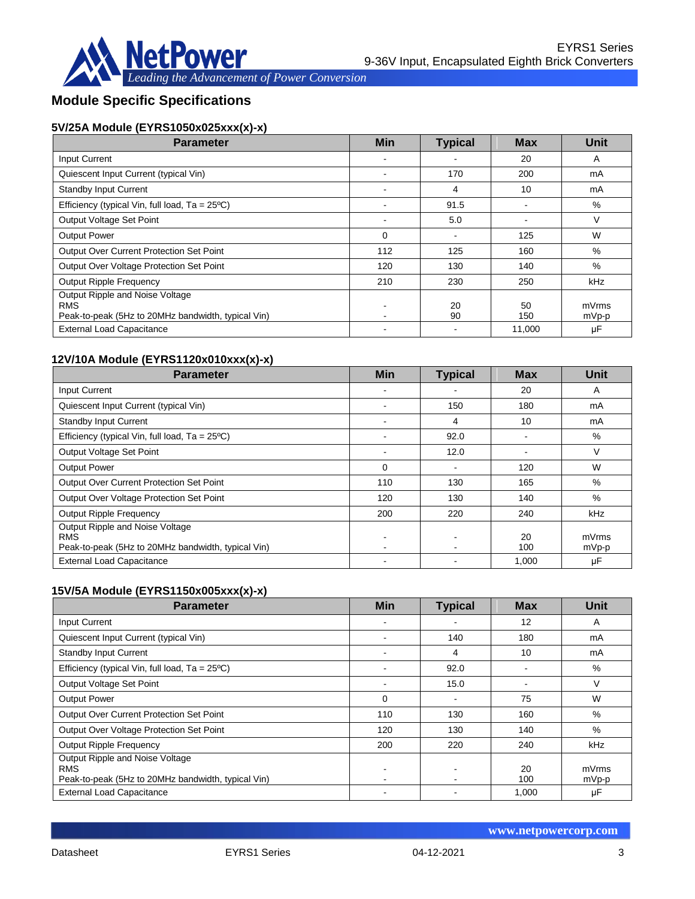

# **Module Specific Specifications**

## **5V/25A Module (EYRS1050x025xxx(x)-x)**

| <b>Parameter</b>                                                                                    | <b>Min</b> | <b>Typical</b> | <b>Max</b> | Unit           |
|-----------------------------------------------------------------------------------------------------|------------|----------------|------------|----------------|
| Input Current                                                                                       |            |                | 20         | A              |
| Quiescent Input Current (typical Vin)                                                               |            | 170            | 200        | mA             |
| <b>Standby Input Current</b>                                                                        |            | 4              | 10         | mA             |
| Efficiency (typical Vin, full load, $Ta = 25^{\circ}C$ )                                            |            | 91.5           |            | %              |
| Output Voltage Set Point                                                                            |            | 5.0            |            | V              |
| <b>Output Power</b>                                                                                 | $\Omega$   |                | 125        | W              |
| Output Over Current Protection Set Point                                                            | 112        | 125            | 160        | %              |
| Output Over Voltage Protection Set Point                                                            | 120        | 130            | 140        | %              |
| <b>Output Ripple Frequency</b>                                                                      | 210        | 230            | 250        | kHz            |
| Output Ripple and Noise Voltage<br><b>RMS</b><br>Peak-to-peak (5Hz to 20MHz bandwidth, typical Vin) |            | 20<br>90       | 50<br>150  | mVrms<br>mVp-p |
| <b>External Load Capacitance</b>                                                                    |            |                | 11.000     | μF             |

### **12V/10A Module (EYRS1120x010xxx(x)-x)**

| <b>Parameter</b>                                                                                    | <b>Min</b> | <b>Typical</b> | <b>Max</b> | Unit           |
|-----------------------------------------------------------------------------------------------------|------------|----------------|------------|----------------|
| <b>Input Current</b>                                                                                |            |                | 20         | A              |
| Quiescent Input Current (typical Vin)                                                               |            | 150            | 180        | mA             |
| <b>Standby Input Current</b>                                                                        |            | 4              | 10         | mA             |
| Efficiency (typical Vin, full load, $Ta = 25^{\circ}C$ )                                            |            | 92.0           |            | %              |
| Output Voltage Set Point                                                                            |            | 12.0           |            | V              |
| <b>Output Power</b>                                                                                 | $\Omega$   | $\blacksquare$ | 120        | W              |
| Output Over Current Protection Set Point                                                            | 110        | 130            | 165        | %              |
| Output Over Voltage Protection Set Point                                                            | 120        | 130            | 140        | %              |
| <b>Output Ripple Frequency</b>                                                                      | 200        | 220            | 240        | kHz            |
| Output Ripple and Noise Voltage<br><b>RMS</b><br>Peak-to-peak (5Hz to 20MHz bandwidth, typical Vin) |            |                | 20<br>100  | mVrms<br>mVp-p |
| <b>External Load Capacitance</b>                                                                    |            |                | 1,000      | μF             |

### **15V/5A Module (EYRS1150x005xxx(x)-x)**

| <b>Parameter</b>                                                                                    | <b>Min</b> | <b>Typical</b> | <b>Max</b> | Unit           |
|-----------------------------------------------------------------------------------------------------|------------|----------------|------------|----------------|
| Input Current                                                                                       |            |                | 12         | A              |
| Quiescent Input Current (typical Vin)                                                               |            | 140            | 180        | mA             |
| <b>Standby Input Current</b>                                                                        |            | 4              | 10         | mA             |
| Efficiency (typical Vin, full load, $Ta = 25^{\circ}C$ )                                            |            | 92.0           |            | $\%$           |
| Output Voltage Set Point                                                                            |            | 15.0           |            | V              |
| <b>Output Power</b>                                                                                 | 0          |                | 75         | W              |
| Output Over Current Protection Set Point                                                            | 110        | 130            | 160        | %              |
| Output Over Voltage Protection Set Point                                                            | 120        | 130            | 140        | %              |
| <b>Output Ripple Frequency</b>                                                                      | 200        | 220            | 240        | kHz            |
| Output Ripple and Noise Voltage<br><b>RMS</b><br>Peak-to-peak (5Hz to 20MHz bandwidth, typical Vin) |            |                | 20<br>100  | mVrms<br>mVp-p |
| <b>External Load Capacitance</b>                                                                    |            |                | 1,000      | μF             |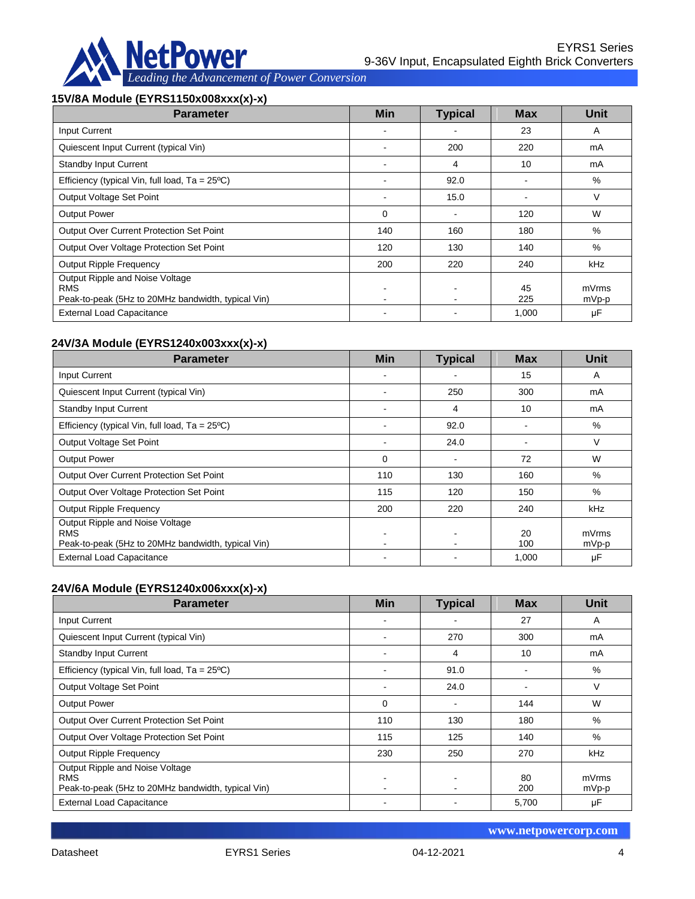

#### **15V/8A Module (EYRS1150x008xxx(x)-x)**

| <b>Parameter</b>                                                                                    | Min | <b>Typical</b> | <b>Max</b> | Unit           |
|-----------------------------------------------------------------------------------------------------|-----|----------------|------------|----------------|
| <b>Input Current</b>                                                                                |     |                | 23         | A              |
| Quiescent Input Current (typical Vin)                                                               |     | 200            | 220        | mA             |
| <b>Standby Input Current</b>                                                                        |     | 4              | 10         | mA             |
| Efficiency (typical Vin, full load, $Ta = 25^{\circ}C$ )                                            |     | 92.0           |            | %              |
| Output Voltage Set Point                                                                            |     | 15.0           |            | V              |
| <b>Output Power</b>                                                                                 | 0   |                | 120        | W              |
| Output Over Current Protection Set Point                                                            | 140 | 160            | 180        | %              |
| Output Over Voltage Protection Set Point                                                            | 120 | 130            | 140        | %              |
| <b>Output Ripple Frequency</b>                                                                      | 200 | 220            | 240        | kHz            |
| Output Ripple and Noise Voltage<br><b>RMS</b><br>Peak-to-peak (5Hz to 20MHz bandwidth, typical Vin) |     |                | 45<br>225  | mVrms<br>mVp-p |
| <b>External Load Capacitance</b>                                                                    |     |                | 1,000      | μF             |

## **24V/3A Module (EYRS1240x003xxx(x)-x)**

| <b>Parameter</b>                                                                                    | <b>Min</b> | <b>Typical</b> | <b>Max</b> | Unit           |
|-----------------------------------------------------------------------------------------------------|------------|----------------|------------|----------------|
| Input Current                                                                                       |            |                | 15         | A              |
| Quiescent Input Current (typical Vin)                                                               |            | 250            | 300        | mA             |
| <b>Standby Input Current</b>                                                                        |            | 4              | 10         | mA             |
| Efficiency (typical Vin, full load, $Ta = 25^{\circ}C$ )                                            |            | 92.0           |            | %              |
| Output Voltage Set Point                                                                            |            | 24.0           |            | V              |
| <b>Output Power</b>                                                                                 | 0          | ۰              | 72         | W              |
| <b>Output Over Current Protection Set Point</b>                                                     | 110        | 130            | 160        | %              |
| Output Over Voltage Protection Set Point                                                            | 115        | 120            | 150        | $\%$           |
| Output Ripple Frequency                                                                             | 200        | 220            | 240        | kHz            |
| Output Ripple and Noise Voltage<br><b>RMS</b><br>Peak-to-peak (5Hz to 20MHz bandwidth, typical Vin) |            |                | 20<br>100  | mVrms<br>mVp-p |
| <b>External Load Capacitance</b>                                                                    |            |                | 1,000      | μF             |

### **24V/6A Module (EYRS1240x006xxx(x)-x)**

| <b>Parameter</b>                                                                                    | <b>Min</b> | <b>Typical</b>           | <b>Max</b> | <b>Unit</b>    |
|-----------------------------------------------------------------------------------------------------|------------|--------------------------|------------|----------------|
| Input Current                                                                                       |            |                          | 27         | A              |
| Quiescent Input Current (typical Vin)                                                               |            | 270                      | 300        | mA             |
| <b>Standby Input Current</b>                                                                        |            | 4                        | 10         | mA             |
| Efficiency (typical Vin, full load, $Ta = 25^{\circ}C$ )                                            |            | 91.0                     |            | %              |
| Output Voltage Set Point                                                                            |            | 24.0                     |            | V              |
| <b>Output Power</b>                                                                                 | $\Omega$   | $\overline{\phantom{a}}$ | 144        | W              |
| Output Over Current Protection Set Point                                                            | 110        | 130                      | 180        | $\%$           |
| Output Over Voltage Protection Set Point                                                            | 115        | 125                      | 140        | %              |
| <b>Output Ripple Frequency</b>                                                                      | 230        | 250                      | 270        | kHz            |
| Output Ripple and Noise Voltage<br><b>RMS</b><br>Peak-to-peak (5Hz to 20MHz bandwidth, typical Vin) |            |                          | 80<br>200  | mVrms<br>mVp-p |
| <b>External Load Capacitance</b>                                                                    |            |                          | 5,700      | μF             |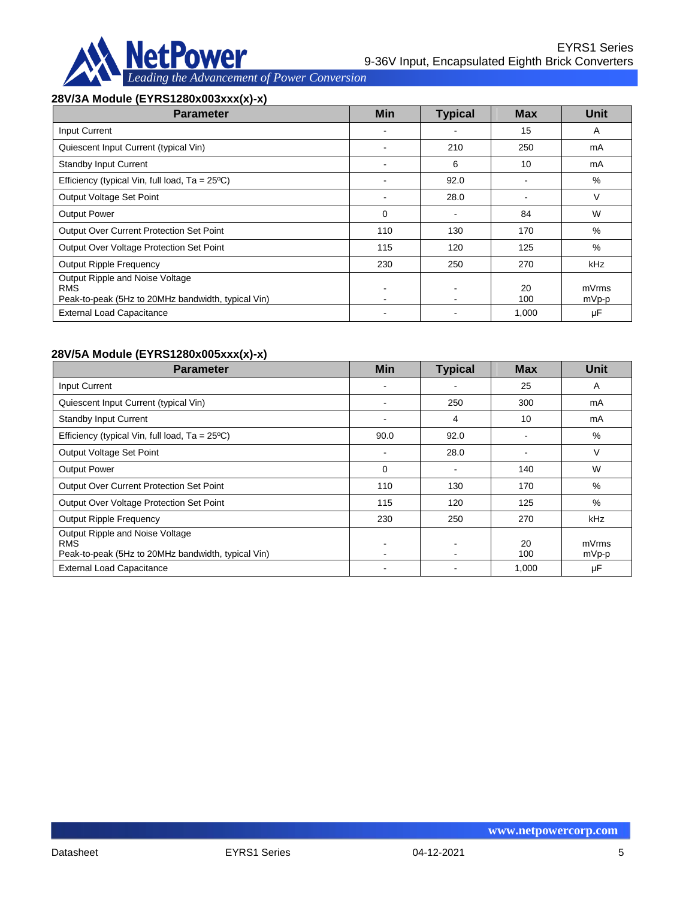

#### **28V/3A Module (EYRS1280x003xxx(x)-x)**

| <b>Parameter</b>                                                                                    | <b>Min</b> | <b>Typical</b> | <b>Max</b> | Unit           |
|-----------------------------------------------------------------------------------------------------|------------|----------------|------------|----------------|
| <b>Input Current</b>                                                                                |            |                | 15         | A              |
| Quiescent Input Current (typical Vin)                                                               |            | 210            | 250        | mA             |
| <b>Standby Input Current</b>                                                                        |            | 6              | 10         | mA             |
| Efficiency (typical Vin, full load, $Ta = 25^{\circ}C$ )                                            |            | 92.0           |            | %              |
| Output Voltage Set Point                                                                            |            | 28.0           |            | V              |
| <b>Output Power</b>                                                                                 | $\Omega$   |                | 84         | W              |
| <b>Output Over Current Protection Set Point</b>                                                     | 110        | 130            | 170        | %              |
| Output Over Voltage Protection Set Point                                                            | 115        | 120            | 125        | %              |
| <b>Output Ripple Frequency</b>                                                                      | 230        | 250            | 270        | <b>kHz</b>     |
| Output Ripple and Noise Voltage<br><b>RMS</b><br>Peak-to-peak (5Hz to 20MHz bandwidth, typical Vin) |            |                | 20<br>100  | mVrms<br>mVp-p |
| <b>External Load Capacitance</b>                                                                    |            |                | 1,000      | μF             |

### **28V/5A Module (EYRS1280x005xxx(x)-x)**

| <b>Parameter</b>                                                                                    | <b>Min</b> | <b>Typical</b> | <b>Max</b> | Unit           |
|-----------------------------------------------------------------------------------------------------|------------|----------------|------------|----------------|
| Input Current                                                                                       |            |                | 25         | A              |
| Quiescent Input Current (typical Vin)                                                               |            | 250            | 300        | mA             |
| <b>Standby Input Current</b>                                                                        |            | 4              | 10         | mA             |
| Efficiency (typical Vin, full load, $Ta = 25^{\circ}C$ )                                            | 90.0       | 92.0           |            | %              |
| Output Voltage Set Point                                                                            |            | 28.0           |            | V              |
| <b>Output Power</b>                                                                                 | $\Omega$   | $\blacksquare$ | 140        | W              |
| <b>Output Over Current Protection Set Point</b>                                                     | 110        | 130            | 170        | %              |
| Output Over Voltage Protection Set Point                                                            | 115        | 120            | 125        | %              |
| <b>Output Ripple Frequency</b>                                                                      | 230        | 250            | 270        | kHz            |
| Output Ripple and Noise Voltage<br><b>RMS</b><br>Peak-to-peak (5Hz to 20MHz bandwidth, typical Vin) |            |                | 20<br>100  | mVrms<br>mVp-p |
| <b>External Load Capacitance</b>                                                                    |            |                | 1,000      | μF             |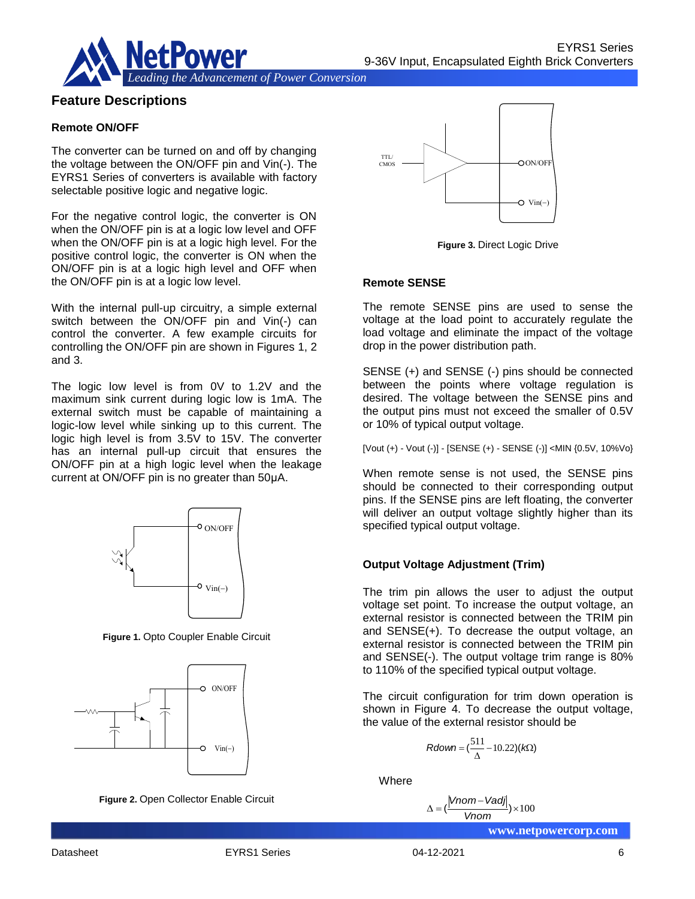

## **Feature Descriptions**

#### **Remote ON/OFF**

The converter can be turned on and off by changing the voltage between the ON/OFF pin and Vin(-). The EYRS1 Series of converters is available with factory selectable positive logic and negative logic.

For the negative control logic, the converter is ON when the ON/OFF pin is at a logic low level and OFF when the ON/OFF pin is at a logic high level. For the positive control logic, the converter is ON when the ON/OFF pin is at a logic high level and OFF when the ON/OFF pin is at a logic low level.

With the internal pull-up circuitry, a simple external switch between the ON/OFF pin and Vin(-) can control the converter. A few example circuits for controlling the ON/OFF pin are shown in Figures 1, 2 and 3.

The logic low level is from 0V to 1.2V and the maximum sink current during logic low is 1mA. The external switch must be capable of maintaining a logic-low level while sinking up to this current. The logic high level is from 3.5V to 15V. The converter has an internal pull-up circuit that ensures the ON/OFF pin at a high logic level when the leakage current at ON/OFF pin is no greater than 50μA.



**Figure 1.** Opto Coupler Enable Circuit



**Figure 2.** Open Collector Enable Circuit



**Figure 3.** Direct Logic Drive

#### **Remote SENSE**

The remote SENSE pins are used to sense the voltage at the load point to accurately regulate the load voltage and eliminate the impact of the voltage drop in the power distribution path.

SENSE (+) and SENSE (-) pins should be connected between the points where voltage regulation is desired. The voltage between the SENSE pins and the output pins must not exceed the smaller of 0.5V or 10% of typical output voltage.

[Vout (+) - Vout (-)] - [SENSE (+) - SENSE (-)] <MIN {0.5V, 10%Vo}

When remote sense is not used, the SENSE pins should be connected to their corresponding output pins. If the SENSE pins are left floating, the converter will deliver an output voltage slightly higher than its specified typical output voltage.

#### **Output Voltage Adjustment (Trim)**

The trim pin allows the user to adjust the output voltage set point. To increase the output voltage, an external resistor is connected between the TRIM pin and SENSE(+). To decrease the output voltage, an external resistor is connected between the TRIM pin and SENSE(-). The output voltage trim range is 80% to 110% of the specified typical output voltage. *Vn*<sub>(-)</sub><br>
Vn<sub>(-)</sub><br>
Vn<sub>(-)</sub><br>
Vn<sub>(-)</sub><br> **Cutput Voltage Adjustmen**<br>
The trim pin allows the us<br>
voltage set point. To increase<br>
external resistor is connecte<br>
and SENSE(-). The output v<br>
to 110% of the specified typic<br>
The

The circuit configuration for trim down operation is shown in Figure 4. To decrease the output voltage, the value of the external resistor should be

$$
Rdown = (\frac{511}{\Delta} - 10.22)(k\Omega)
$$

Where

$$
\Delta = \left(\frac{|Vnom - Vadj|}{Vnom}\right) \times 100
$$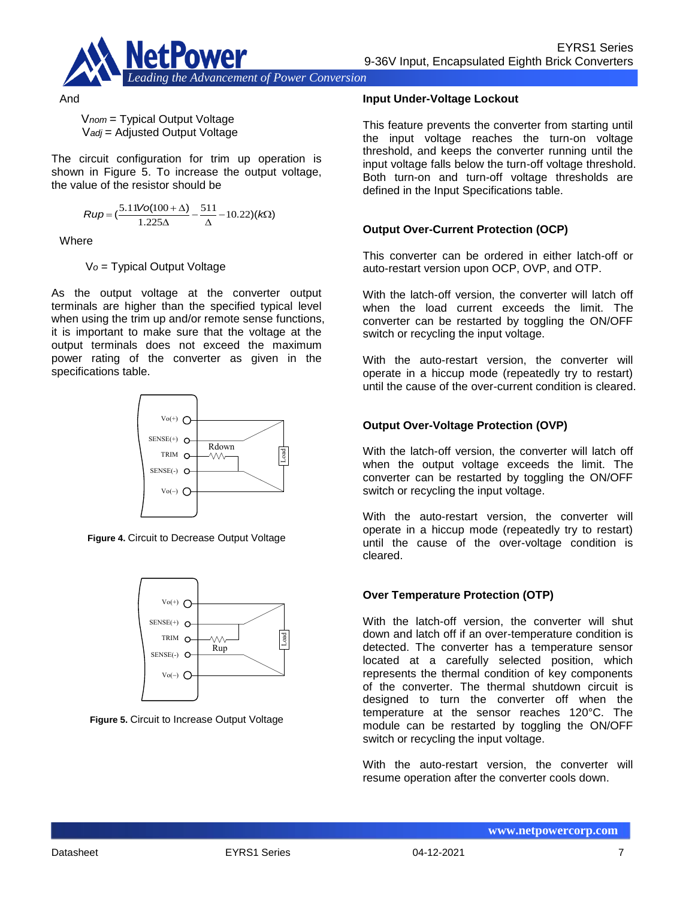

And

V*nom* = Typical Output Voltage V*adj* = Adjusted Output Voltage

The circuit configuration for trim up operation is shown in Figure 5. To increase the output voltage, the value of the resistor should be

$$
Rup = \left(\frac{5.11\text{Vol}(100+\Delta)}{1.225\Delta} - \frac{511}{\Delta} - 10.22\right)(k\Omega)
$$

**Where** 

V*o* = Typical Output Voltage

As the output voltage at the converter output terminals are higher than the specified typical level when using the trim up and/or remote sense functions, it is important to make sure that the voltage at the output terminals does not exceed the maximum power rating of the converter as given in the specifications table.



**Figure 4.** Circuit to Decrease Output Voltage



**Figure 5.** Circuit to Increase Output Voltage

#### **Input Under-Voltage Lockout**

This feature prevents the converter from starting until the input voltage reaches the turn-on voltage threshold, and keeps the converter running until the input voltage falls below the turn-off voltage threshold. Both turn-on and turn-off voltage thresholds are defined in the Input Specifications table.

### **Output Over-Current Protection (OCP)**

This converter can be ordered in either latch-off or auto-restart version upon OCP, OVP, and OTP.

With the latch-off version, the converter will latch off when the load current exceeds the limit. The converter can be restarted by toggling the ON/OFF switch or recycling the input voltage.

With the auto-restart version, the converter will operate in a hiccup mode (repeatedly try to restart) until the cause of the over-current condition is cleared.

### **Output Over-Voltage Protection (OVP)**

With the latch-off version, the converter will latch off when the output voltage exceeds the limit. The converter can be restarted by toggling the ON/OFF switch or recycling the input voltage.

With the auto-restart version, the converter will operate in a hiccup mode (repeatedly try to restart) until the cause of the over-voltage condition is cleared.

### **Over Temperature Protection (OTP)**

With the latch-off version, the converter will shut down and latch off if an over-temperature condition is detected. The converter has a temperature sensor located at a carefully selected position, which represents the thermal condition of key components of the converter. The thermal shutdown circuit is designed to turn the converter off when the temperature at the sensor reaches 120°C. The module can be restarted by toggling the ON/OFF switch or recycling the input voltage.

With the auto-restart version, the converter will resume operation after the converter cools down.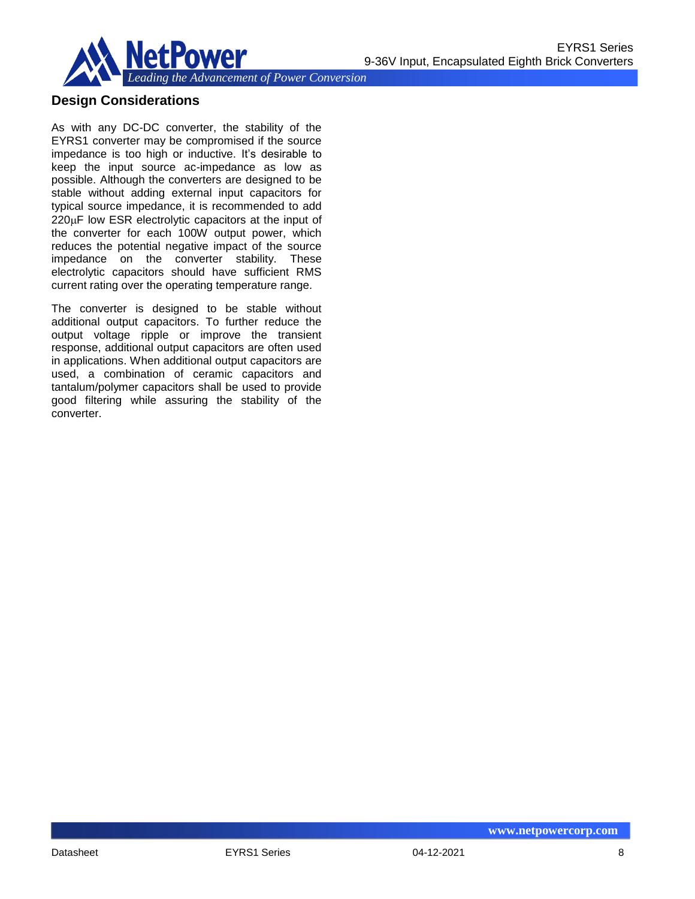

## **Design Considerations**

As with any DC-DC converter, the stability of the EYRS1 converter may be compromised if the source impedance is too high or inductive. It's desirable to keep the input source ac-impedance as low as possible. Although the converters are designed to be stable without adding external input capacitors for typical source impedance, it is recommended to add  $220\mu$ F low ESR electrolytic capacitors at the input of the converter for each 100W output power, which reduces the potential negative impact of the source impedance on the converter stability. These electrolytic capacitors should have sufficient RMS current rating over the operating temperature range.

The converter is designed to be stable without additional output capacitors. To further reduce the output voltage ripple or improve the transient response, additional output capacitors are often used in applications. When additional output capacitors are used, a combination of ceramic capacitors and tantalum/polymer capacitors shall be used to provide good filtering while assuring the stability of the converter.